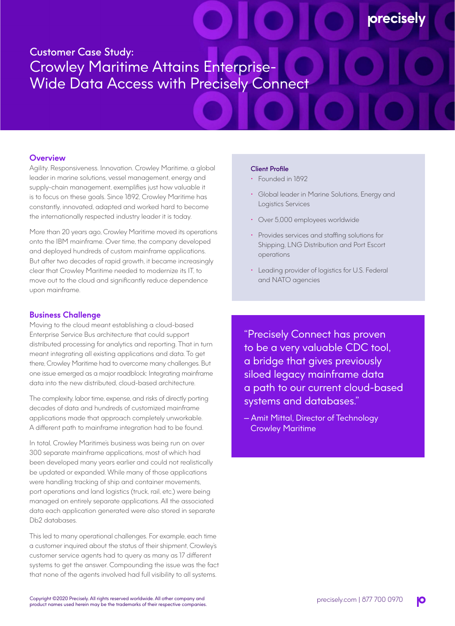# Customer Case Study: Crowley Maritime Attains Enterprise-Wide Data Access with Precisely Connect

## **Overview**

Agility. Responsiveness. Innovation. Crowley Maritime, a global leader in marine solutions, vessel management, energy and supply-chain management, exemplifies just how valuable it is to focus on these goals. Since 1892, Crowley Maritime has constantly, innovated, adapted and worked hard to become the internationally respected industry leader it is today.

More than 20 years ago, Crowley Maritime moved its operations onto the IBM mainframe. Over time, the company developed and deployed hundreds of custom mainframe applications. But after two decades of rapid growth, it became increasingly clear that Crowley Maritime needed to modernize its IT, to move out to the cloud and significantly reduce dependence upon mainframe.

## **Business Challenge**

Moving to the cloud meant establishing a cloud-based Enterprise Service Bus architecture that could support distributed processing for analytics and reporting. That in turn meant integrating all existing applications and data. To get there, Crowley Maritime had to overcome many challenges. But one issue emerged as a major roadblock: Integrating mainframe data into the new distributed, cloud-based architecture.

The complexity, labor time, expense, and risks of directly porting decades of data and hundreds of customized mainframe applications made that approach completely unworkable. A different path to mainframe integration had to be found.

In total, Crowley Maritime's business was being run on over 300 separate mainframe applications, most of which had been developed many years earlier and could not realistically be updated or expanded. While many of those applications were handling tracking of ship and container movements, port operations and land logistics (truck, rail, etc.) were being managed on entirely separate applications. All the associated data each application generated were also stored in separate Db2 databases.

This led to many operational challenges. For example, each time a customer inquired about the status of their shipment, Crowley's customer service agents had to query as many as 17 different systems to get the answer. Compounding the issue was the fact that none of the agents involved had full visibility to all systems.

#### Client Profile

- Founded in 1892
- Global leader in Marine Solutions, Energy and Logistics Services

**precisel** 

- Over 5,000 employees worldwide
- Provides services and staffing solutions for Shipping, LNG Distribution and Port Escort operations
- Leading provider of logistics for U.S. Federal and NATO agencies

"Precisely Connect has proven to be a very valuable CDC tool, a bridge that gives previously siloed legacy mainframe data a path to our current cloud-based systems and databases."

— Amit Mittal, Director of Technology Crowley Maritime